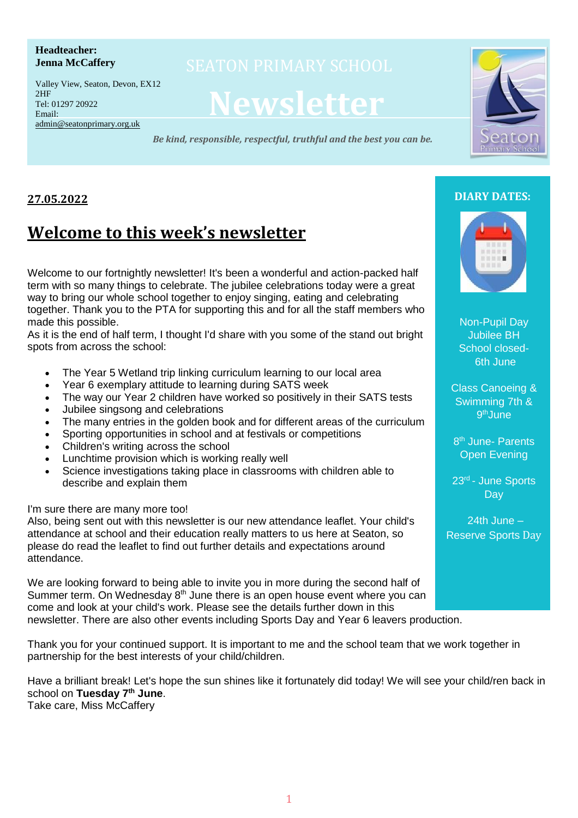#### **Headteacher: Jenna McCaffery**

Valley View, Seaton, Devon, EX12  $2HF$ Tel: 01297 20922 Email: admin@seatonprimary.org.uk

# **Newsletter**

*Be kind, responsible, respectful, truthful and the best you can be.*



# **27.05.2022**

# **Welcome to this week's newsletter**

Welcome to our fortnightly newsletter! It's been a wonderful and action-packed half term with so many things to celebrate. The jubilee celebrations today were a great way to bring our whole school together to enjoy singing, eating and celebrating together. Thank you to the PTA for supporting this and for all the staff members who made this possible.

As it is the end of half term, I thought I'd share with you some of the stand out bright spots from across the school:

- The Year 5 Wetland trip linking curriculum learning to our local area
- Year 6 exemplary attitude to learning during SATS week
- The way our Year 2 children have worked so positively in their SATS tests
- Jubilee singsong and celebrations
- The many entries in the golden book and for different areas of the curriculum
- Sporting opportunities in school and at festivals or competitions
- Children's writing across the school
- Lunchtime provision which is working really well
- Science investigations taking place in classrooms with children able to describe and explain them

I'm sure there are many more too!

Also, being sent out with this newsletter is our new attendance leaflet. Your child's attendance at school and their education really matters to us here at Seaton, so please do read the leaflet to find out further details and expectations around attendance.

We are looking forward to being able to invite you in more during the second half of Summer term. On Wednesday  $8<sup>th</sup>$  June there is an open house event where you can come and look at your child's work. Please see the details further down in this newsletter. There are also other events including Sports Day and Year 6 leavers production.

Thank you for your continued support. It is important to me and the school team that we work together in partnership for the best interests of your child/children.

Have a brilliant break! Let's hope the sun shines like it fortunately did today! We will see your child/ren back in school on **Tuesday 7 th June**. Take care, Miss McCaffery

# **DIARY DATES:**



Non-Pupil Day Jubilee BH School closed-6th June

Class Canoeing & Swimming 7th & 9<sup>th</sup>June

8<sup>th</sup> June- Parents Open Evening

23<sup>rd</sup> - June Sports **Day** 

24th June – Reserve Sports Day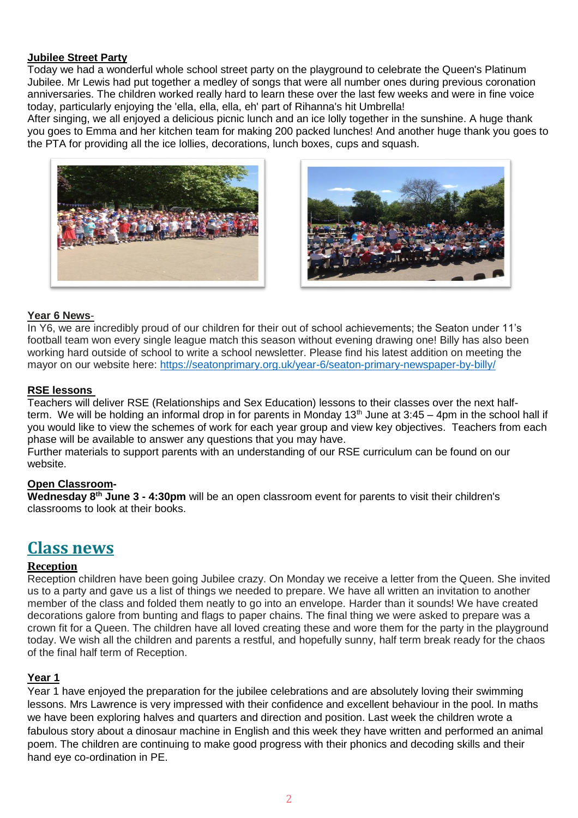#### **Jubilee Street Party**

Today we had a wonderful whole school street party on the playground to celebrate the Queen's Platinum Jubilee. Mr Lewis had put together a medley of songs that were all number ones during previous coronation anniversaries. The children worked really hard to learn these over the last few weeks and were in fine voice today, particularly enjoying the 'ella, ella, ella, eh' part of Rihanna's hit Umbrella!

After singing, we all enjoyed a delicious picnic lunch and an ice lolly together in the sunshine. A huge thank you goes to Emma and her kitchen team for making 200 packed lunches! And another huge thank you goes to the PTA for providing all the ice lollies, decorations, lunch boxes, cups and squash.





#### **Year 6 News**-

In Y6, we are incredibly proud of our children for their out of school achievements; the Seaton under 11's football team won every single league match this season without evening drawing one! Billy has also been working hard outside of school to write a school newsletter. Please find his latest addition on meeting the mayor on our website here: <https://seatonprimary.org.uk/year-6/seaton-primary-newspaper-by-billy/>

#### **RSE lessons**

Teachers will deliver RSE (Relationships and Sex Education) lessons to their classes over the next halfterm. We will be holding an informal drop in for parents in Monday  $13<sup>th</sup>$  June at  $3:45 - 4$ pm in the school hall if you would like to view the schemes of work for each year group and view key objectives. Teachers from each phase will be available to answer any questions that you may have.

Further materials to support parents with an understanding of our RSE curriculum can be found on our website.

#### **Open Classroom-**

**Wednesday 8 th June 3 - 4:30pm** will be an open classroom event for parents to visit their children's classrooms to look at their books.

# **Class news**

#### **Reception**

Reception children have been going Jubilee crazy. On Monday we receive a letter from the Queen. She invited us to a party and gave us a list of things we needed to prepare. We have all written an invitation to another member of the class and folded them neatly to go into an envelope. Harder than it sounds! We have created decorations galore from bunting and flags to paper chains. The final thing we were asked to prepare was a crown fit for a Queen. The children have all loved creating these and wore them for the party in the playground today. We wish all the children and parents a restful, and hopefully sunny, half term break ready for the chaos of the final half term of Reception.

#### **Year 1**

Year 1 have enjoyed the preparation for the jubilee celebrations and are absolutely loving their swimming lessons. Mrs Lawrence is very impressed with their confidence and excellent behaviour in the pool. In maths we have been exploring halves and quarters and direction and position. Last week the children wrote a fabulous story about a dinosaur machine in English and this week they have written and performed an animal poem. The children are continuing to make good progress with their phonics and decoding skills and their hand eye co-ordination in PE.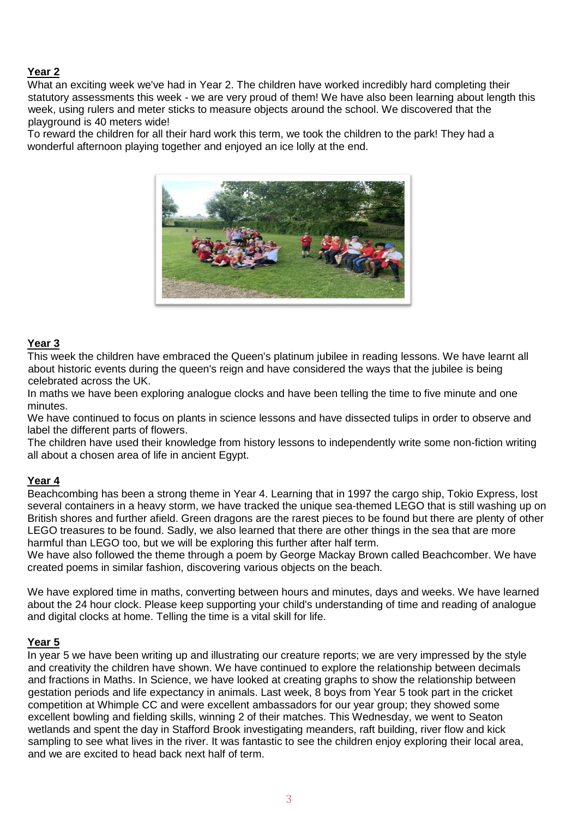#### **Year 2**

What an exciting week we've had in Year 2. The children have worked incredibly hard completing their statutory assessments this week - we are very proud of them! We have also been learning about length this week, using rulers and meter sticks to measure objects around the school. We discovered that the playground is 40 meters wide!

To reward the children for all their hard work this term, we took the children to the park! They had a wonderful afternoon playing together and enjoyed an ice lolly at the end.



#### **Year 3**

This week the children have embraced the Queen's platinum jubilee in reading lessons. We have learnt all about historic events during the queen's reign and have considered the ways that the jubilee is being celebrated across the UK.

In maths we have been exploring analogue clocks and have been telling the time to five minute and one minutes.

We have continued to focus on plants in science lessons and have dissected tulips in order to observe and label the different parts of flowers.

The children have used their knowledge from history lessons to independently write some non-fiction writing all about a chosen area of life in ancient Egypt.

#### **Year 4**

Beachcombing has been a strong theme in Year 4. Learning that in 1997 the cargo ship, Tokio Express, lost several containers in a heavy storm, we have tracked the unique sea-themed LEGO that is still washing up on British shores and further afield. Green dragons are the rarest pieces to be found but there are plenty of other LEGO treasures to be found. Sadly, we also learned that there are other things in the sea that are more harmful than LEGO too, but we will be exploring this further after half term.

We have also followed the theme through a poem by George Mackay Brown called Beachcomber. We have created poems in similar fashion, discovering various objects on the beach.

We have explored time in maths, converting between hours and minutes, days and weeks. We have learned about the 24 hour clock. Please keep supporting your child's understanding of time and reading of analogue and digital clocks at home. Telling the time is a vital skill for life.

#### **Year 5**

In year 5 we have been writing up and illustrating our creature reports; we are very impressed by the style and creativity the children have shown. We have continued to explore the relationship between decimals and fractions in Maths. In Science, we have looked at creating graphs to show the relationship between gestation periods and life expectancy in animals. Last week, 8 boys from Year 5 took part in the cricket competition at Whimple CC and were excellent ambassadors for our year group; they showed some excellent bowling and fielding skills, winning 2 of their matches. This Wednesday, we went to Seaton wetlands and spent the day in Stafford Brook investigating meanders, raft building, river flow and kick sampling to see what lives in the river. It was fantastic to see the children enjoy exploring their local area, and we are excited to head back next half of term.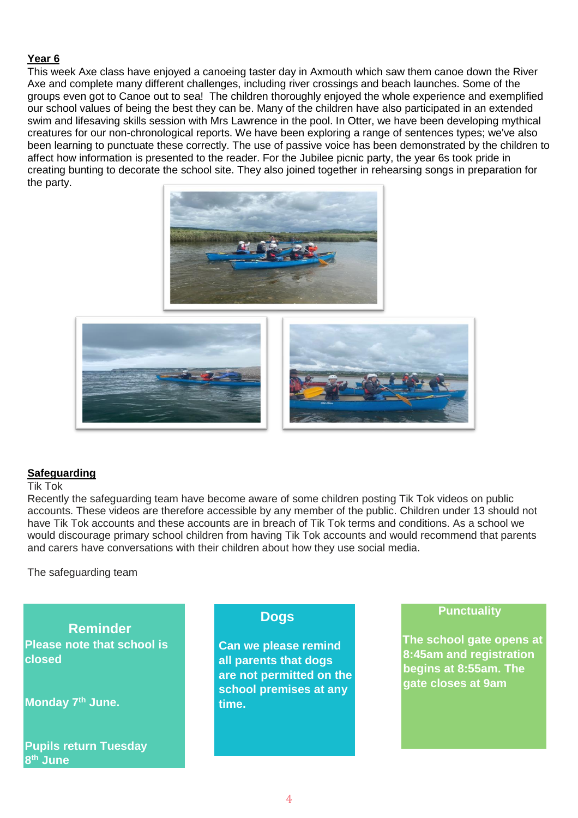#### **Year 6**

This week Axe class have enjoyed a canoeing taster day in Axmouth which saw them canoe down the River Axe and complete many different challenges, including river crossings and beach launches. Some of the groups even got to Canoe out to sea! The children thoroughly enjoyed the whole experience and exemplified our school values of being the best they can be. Many of the children have also participated in an extended swim and lifesaving skills session with Mrs Lawrence in the pool. In Otter, we have been developing mythical creatures for our non-chronological reports. We have been exploring a range of sentences types; we've also been learning to punctuate these correctly. The use of passive voice has been demonstrated by the children to affect how information is presented to the reader. For the Jubilee picnic party, the year 6s took pride in creating bunting to decorate the school site. They also joined together in rehearsing songs in preparation for the party.





#### **Safeguarding**

#### Tik Tok

Recently the safeguarding team have become aware of some children posting Tik Tok videos on public accounts. These videos are therefore accessible by any member of the public. Children under 13 should not have Tik Tok accounts and these accounts are in breach of Tik Tok terms and conditions. As a school we would discourage primary school children from having Tik Tok accounts and would recommend that parents and carers have conversations with their children about how they use social media.

The safeguarding team

 **Reminder Please note that school is closed** 

**Monday 7th June.**

**Pupils return Tuesday 8 th June**

# **Dogs**

**Can we please remind all parents that dogs are not permitted on the school premises at any time.**

#### **Punctuality**

**The school gate opens at 8:45am and registration begins at 8:55am. The gate closes at 9am**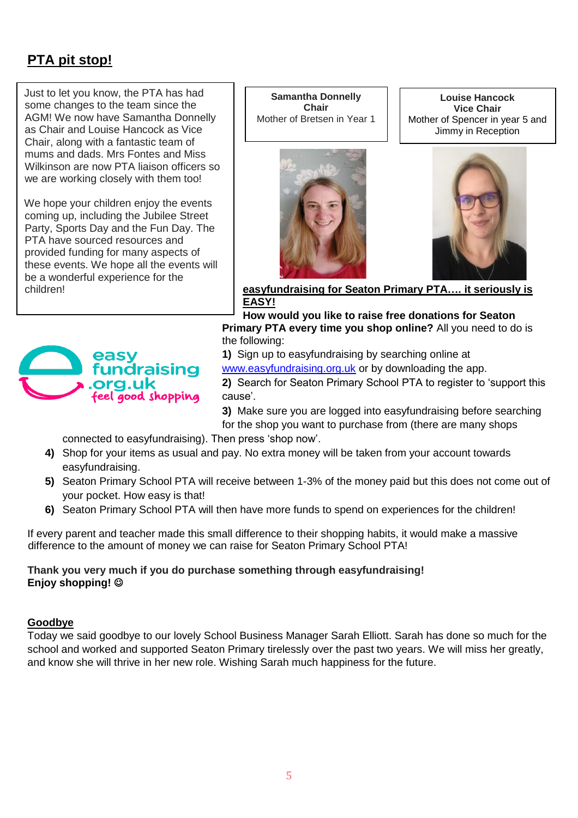# **PTA pit stop!**

Just to let you know, the PTA has had some changes to the team since the AGM! We now have Samantha Donnelly as Chair and Louise Hancock as Vice Chair, along with a fantastic team of mums and dads. Mrs Fontes and Miss Wilkinson are now PTA liaison officers so we are working closely with them too!

We hope your children enjoy the events coming up, including the Jubilee Street Party, Sports Day and the Fun Day. The PTA have sourced resources and provided funding for many aspects of these events. We hope all the events will be a wonderful experience for the children!



**Samantha Donnelly Chair** Mother of Bretsen in Year 1



**Louise Hancock Vice Chair** Mother of Spencer in year 5 and Jimmy in Reception



**easyfundraising for Seaton Primary PTA…. it seriously is EASY!**

**How would you like to raise free donations for Seaton Primary PTA every time you shop online?** All you need to do is the following:

**1)** Sign up to easyfundraising by searching online at

[www.easyfundraising.org.uk](http://www.easyfundraising.org.uk/) or by downloading the app.

**2)** Search for Seaton Primary School PTA to register to 'support this cause'.

**3)** Make sure you are logged into easyfundraising before searching for the shop you want to purchase from (there are many shops

connected to easyfundraising). Then press 'shop now'.

- **4)** Shop for your items as usual and pay. No extra money will be taken from your account towards easyfundraising.
- **5)** Seaton Primary School PTA will receive between 1-3% of the money paid but this does not come out of your pocket. How easy is that!
- **6)** Seaton Primary School PTA will then have more funds to spend on experiences for the children!

If every parent and teacher made this small difference to their shopping habits, it would make a massive difference to the amount of money we can raise for Seaton Primary School PTA!

### **Thank you very much if you do purchase something through easyfundraising! Enjoy shopping!** ☺

#### **Goodbye**

Today we said goodbye to our lovely School Business Manager Sarah Elliott. Sarah has done so much for the school and worked and supported Seaton Primary tirelessly over the past two years. We will miss her greatly, and know she will thrive in her new role. Wishing Sarah much happiness for the future.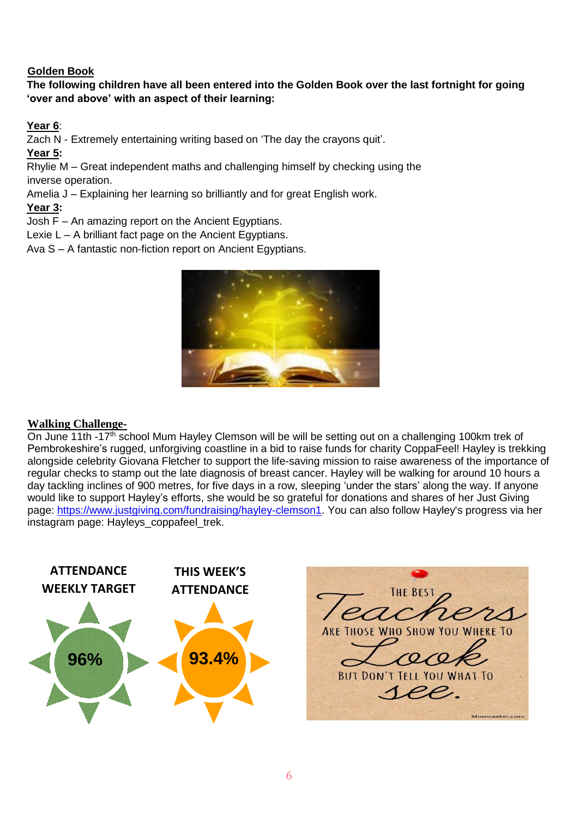## **Golden Book**

# **The following children have all been entered into the Golden Book over the last fortnight for going 'over and above' with an aspect of their learning:**

# **Year 6**:

Zach N - Extremely entertaining writing based on 'The day the crayons quit'.

**Year 5:**

Rhylie M – Great independent maths and challenging himself by checking using the inverse operation.

Amelia J – Explaining her learning so brilliantly and for great English work.

## **Year 3:**

Josh F – An amazing report on the Ancient Egyptians.

Lexie L – A brilliant fact page on the Ancient Egyptians.

Ava S – A fantastic non-fiction report on Ancient Egyptians.



# **Walking Challenge-**

On June 11th -17<sup>th</sup> school Mum Hayley Clemson will be will be setting out on a challenging 100km trek of Pembrokeshire's rugged, unforgiving coastline in a bid to raise funds for charity CoppaFeel! Hayley is trekking alongside celebrity Giovana Fletcher to support the life-saving mission to raise awareness of the importance of regular checks to stamp out the late diagnosis of breast cancer. Hayley will be walking for around 10 hours a day tackling inclines of 900 metres, for five days in a row, sleeping 'under the stars' along the way. If anyone would like to support Hayley's efforts, she would be so grateful for donations and shares of her Just Giving page: [https://www.justgiving.com/fundraising/hayley-clemson1.](https://www.justgiving.com/fundraising/hayley-clemson1) You can also follow Hayley's progress via her instagram page: Hayleys\_coppafeel\_trek.



THF<sub>B</sub> **ARE THOSE WHO SHOW YOU WHERE TO BUT DON'T TELL YOU WHAT TO** *SPP* Momcaster.com